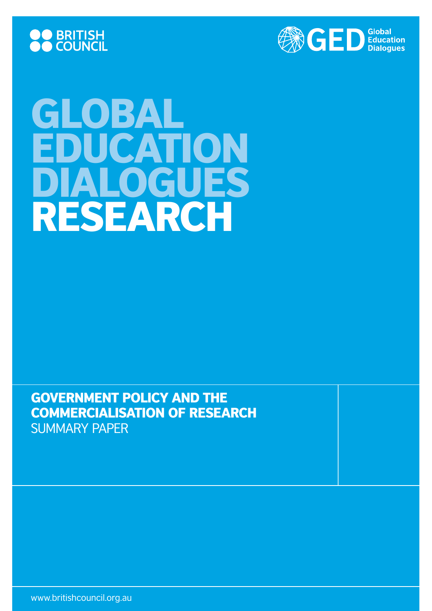



# GLOBAL EDUCATION DIALOGUES research

Government Policy and the Commercialisation of Research Summary paper

www.britishcouncil.org.au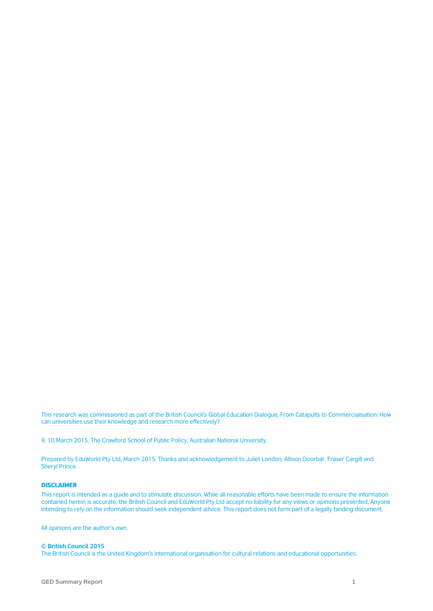This research was commissioned as part of the British Council's Global Education Dialogue, From Catapults to Commercialisation: How can universities use their knowledge and research more effectively?

9, 10 March 2015, The Crawford School of Public Policy, Australian National University.

Prepared by EduWorld Pty Ltd, March 2015. Thanks and acknowledgement to Juliet London, Allison Doorbar, Fraser Cargill and Sheryl Prince.

#### DISCLAIMER

This report is intended as a guide and to stimulate discussion. While all reasonable efforts have been made to ensure the information contained herein is accurate, the British Council and EduWorld Pty Ltd accept no liability for any views or opinions presented. Anyone intending to rely on the information should seek independent advice. This report does not form part of a legally binding document.

All opinions are the author's own.

#### **© British Council 2015**

The British Council is the United Kingdom's international organisation for cultural relations and educational opportunities.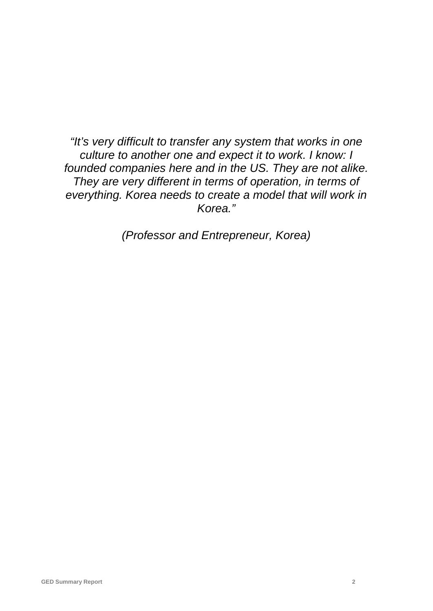*"It's very difficult to transfer any system that works in one culture to another one and expect it to work. I know: I founded companies here and in the US. They are not alike. They are very different in terms of operation, in terms of everything. Korea needs to create a model that will work in Korea."*

*(Professor and Entrepreneur, Korea)*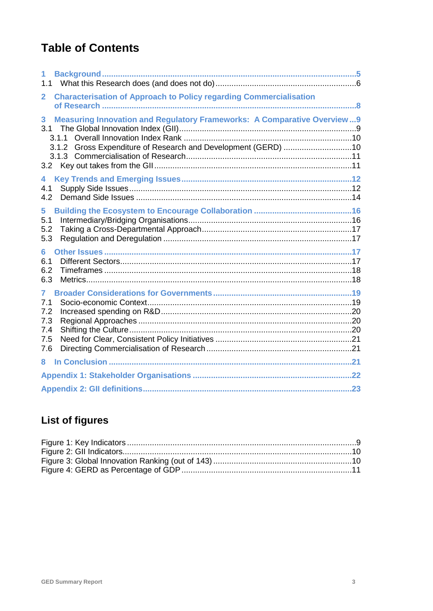# **Table of Contents**

| 1<br>1.1                                               |                                                                                                                                                          |  |
|--------------------------------------------------------|----------------------------------------------------------------------------------------------------------------------------------------------------------|--|
| $\overline{2}$                                         | <b>Characterisation of Approach to Policy regarding Commercialisation</b>                                                                                |  |
| 3<br>3.1<br>3.2                                        | <b>Measuring Innovation and Regulatory Frameworks: A Comparative Overview9</b><br>3.1.1<br>3.1.2 Gross Expenditure of Research and Development (GERD) 10 |  |
| 4<br>4.1<br>4.2                                        |                                                                                                                                                          |  |
| 5<br>5.1<br>5.2<br>5.3                                 |                                                                                                                                                          |  |
| 6<br>6.1<br>6.2<br>6.3                                 |                                                                                                                                                          |  |
| $\mathbf{7}$<br>7.1<br>7.2<br>7.3<br>7.4<br>7.5<br>7.6 |                                                                                                                                                          |  |
| 8                                                      |                                                                                                                                                          |  |
|                                                        |                                                                                                                                                          |  |
|                                                        |                                                                                                                                                          |  |

# **List of figures**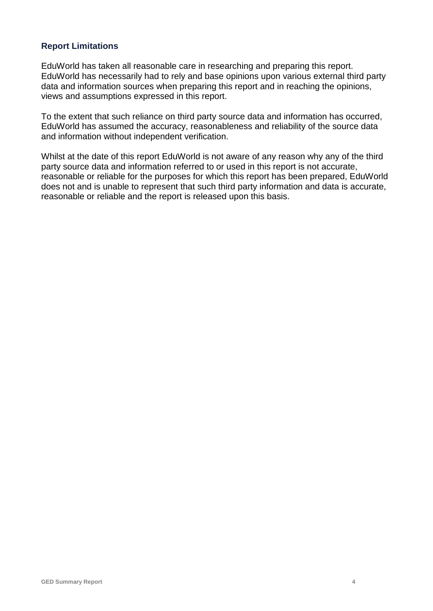#### **Report Limitations**

EduWorld has taken all reasonable care in researching and preparing this report. EduWorld has necessarily had to rely and base opinions upon various external third party data and information sources when preparing this report and in reaching the opinions, views and assumptions expressed in this report.

To the extent that such reliance on third party source data and information has occurred, EduWorld has assumed the accuracy, reasonableness and reliability of the source data and information without independent verification.

Whilst at the date of this report EduWorld is not aware of any reason why any of the third party source data and information referred to or used in this report is not accurate, reasonable or reliable for the purposes for which this report has been prepared, EduWorld does not and is unable to represent that such third party information and data is accurate, reasonable or reliable and the report is released upon this basis.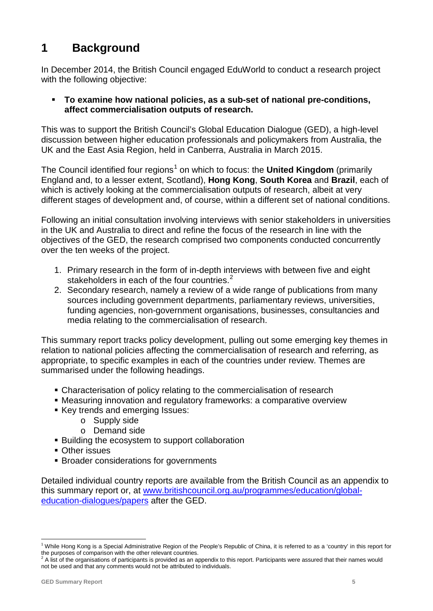# **1 Background**

In December 2014, the British Council engaged EduWorld to conduct a research project with the following objective:

#### **To examine how national policies, as a sub-set of national pre-conditions, affect commercialisation outputs of research.**

This was to support the British Council's Global Education Dialogue (GED), a high-level discussion between higher education professionals and policymakers from Australia, the UK and the East Asia Region, held in Canberra, Australia in March 2015.

The Council identified four regions<sup>[1](#page-5-0)</sup> on which to focus: the **United Kingdom** (primarily England and, to a lesser extent, Scotland), **Hong Kong**, **South Korea** and **Brazil**, each of which is actively looking at the commercialisation outputs of research, albeit at very different stages of development and, of course, within a different set of national conditions.

Following an initial consultation involving interviews with senior stakeholders in universities in the UK and Australia to direct and refine the focus of the research in line with the objectives of the GED, the research comprised two components conducted concurrently over the ten weeks of the project.

- 1. Primary research in the form of in-depth interviews with between five and eight stakeholders in each of the four countries.<sup>[2](#page-5-1)</sup>
- 2. Secondary research, namely a review of a wide range of publications from many sources including government departments, parliamentary reviews, universities, funding agencies, non-government organisations, businesses, consultancies and media relating to the commercialisation of research.

This summary report tracks policy development, pulling out some emerging key themes in relation to national policies affecting the commercialisation of research and referring, as appropriate, to specific examples in each of the countries under review. Themes are summarised under the following headings.

- Characterisation of policy relating to the commercialisation of research
- Measuring innovation and regulatory frameworks: a comparative overview
- Key trends and emerging Issues:
	- o Supply side
	- o Demand side
- Building the ecosystem to support collaboration
- **Other issues**
- **Broader considerations for governments**

Detailed individual country reports are available from the British Council as an appendix to this summary report or, at [www.britishcouncil.org.au/programmes/education/global](http://www.britishcouncil.org.au/programmes/education/global-education-dialogues/papers)[education-dialogues/papers](http://www.britishcouncil.org.au/programmes/education/global-education-dialogues/papers) after the GED.

<span id="page-5-0"></span><sup>&</sup>lt;sup>1</sup> While Hong Kong is a Special Administrative Region of the People's Republic of China, it is referred to as a 'country' in this report for the purposes of comparison with the other relevant countries.

<span id="page-5-1"></span>A list of the organisations of participants is provided as an appendix to this report. Participants were assured that their names would not be used and that any comments would not be attributed to individuals.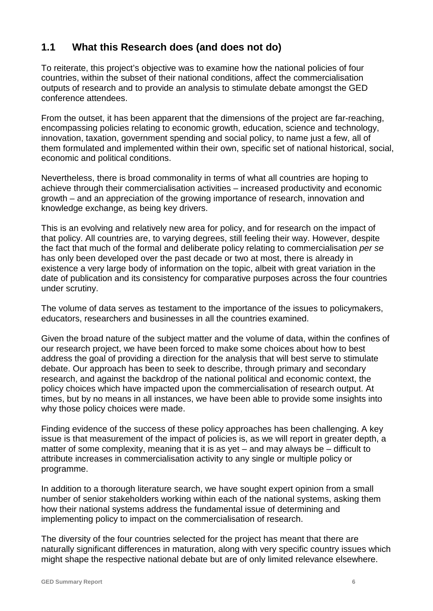# **1.1 What this Research does (and does not do)**

To reiterate, this project's objective was to examine how the national policies of four countries, within the subset of their national conditions, affect the commercialisation outputs of research and to provide an analysis to stimulate debate amongst the GED conference attendees.

From the outset, it has been apparent that the dimensions of the project are far-reaching, encompassing policies relating to economic growth, education, science and technology, innovation, taxation, government spending and social policy, to name just a few, all of them formulated and implemented within their own, specific set of national historical, social, economic and political conditions.

Nevertheless, there is broad commonality in terms of what all countries are hoping to achieve through their commercialisation activities – increased productivity and economic growth – and an appreciation of the growing importance of research, innovation and knowledge exchange, as being key drivers.

This is an evolving and relatively new area for policy, and for research on the impact of that policy. All countries are, to varying degrees, still feeling their way. However, despite the fact that much of the formal and deliberate policy relating to commercialisation *per se*  has only been developed over the past decade or two at most, there is already in existence a very large body of information on the topic, albeit with great variation in the date of publication and its consistency for comparative purposes across the four countries under scrutiny.

The volume of data serves as testament to the importance of the issues to policymakers, educators, researchers and businesses in all the countries examined.

Given the broad nature of the subject matter and the volume of data, within the confines of our research project, we have been forced to make some choices about how to best address the goal of providing a direction for the analysis that will best serve to stimulate debate. Our approach has been to seek to describe, through primary and secondary research, and against the backdrop of the national political and economic context, the policy choices which have impacted upon the commercialisation of research output. At times, but by no means in all instances, we have been able to provide some insights into why those policy choices were made.

Finding evidence of the success of these policy approaches has been challenging. A key issue is that measurement of the impact of policies is, as we will report in greater depth, a matter of some complexity, meaning that it is as yet – and may always be – difficult to attribute increases in commercialisation activity to any single or multiple policy or programme.

In addition to a thorough literature search, we have sought expert opinion from a small number of senior stakeholders working within each of the national systems, asking them how their national systems address the fundamental issue of determining and implementing policy to impact on the commercialisation of research.

The diversity of the four countries selected for the project has meant that there are naturally significant differences in maturation, along with very specific country issues which might shape the respective national debate but are of only limited relevance elsewhere.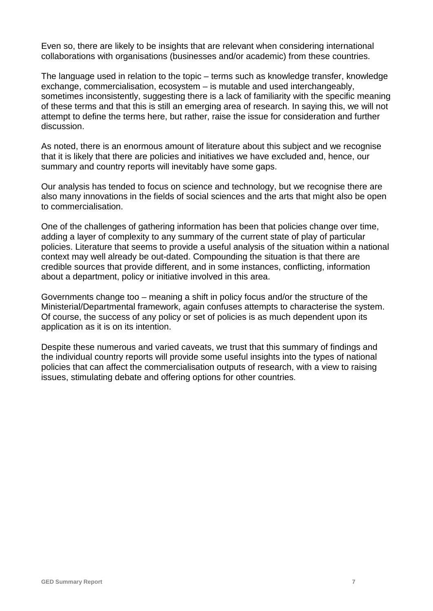Even so, there are likely to be insights that are relevant when considering international collaborations with organisations (businesses and/or academic) from these countries.

The language used in relation to the topic – terms such as knowledge transfer, knowledge exchange, commercialisation, ecosystem – is mutable and used interchangeably, sometimes inconsistently, suggesting there is a lack of familiarity with the specific meaning of these terms and that this is still an emerging area of research. In saying this, we will not attempt to define the terms here, but rather, raise the issue for consideration and further discussion.

As noted, there is an enormous amount of literature about this subject and we recognise that it is likely that there are policies and initiatives we have excluded and, hence, our summary and country reports will inevitably have some gaps.

Our analysis has tended to focus on science and technology, but we recognise there are also many innovations in the fields of social sciences and the arts that might also be open to commercialisation.

One of the challenges of gathering information has been that policies change over time, adding a layer of complexity to any summary of the current state of play of particular policies. Literature that seems to provide a useful analysis of the situation within a national context may well already be out-dated. Compounding the situation is that there are credible sources that provide different, and in some instances, conflicting, information about a department, policy or initiative involved in this area.

Governments change too – meaning a shift in policy focus and/or the structure of the Ministerial/Departmental framework, again confuses attempts to characterise the system. Of course, the success of any policy or set of policies is as much dependent upon its application as it is on its intention.

Despite these numerous and varied caveats, we trust that this summary of findings and the individual country reports will provide some useful insights into the types of national policies that can affect the commercialisation outputs of research, with a view to raising issues, stimulating debate and offering options for other countries.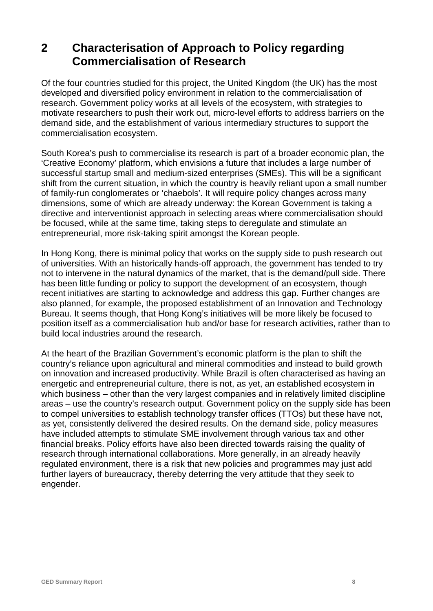# **2 Characterisation of Approach to Policy regarding Commercialisation of Research**

Of the four countries studied for this project, the United Kingdom (the UK) has the most developed and diversified policy environment in relation to the commercialisation of research. Government policy works at all levels of the ecosystem, with strategies to motivate researchers to push their work out, micro-level efforts to address barriers on the demand side, and the establishment of various intermediary structures to support the commercialisation ecosystem.

South Korea's push to commercialise its research is part of a broader economic plan, the 'Creative Economy' platform, which envisions a future that includes a large number of successful startup small and medium-sized enterprises (SMEs). This will be a significant shift from the current situation, in which the country is heavily reliant upon a small number of family-run conglomerates or 'chaebols'. It will require policy changes across many dimensions, some of which are already underway: the Korean Government is taking a directive and interventionist approach in selecting areas where commercialisation should be focused, while at the same time, taking steps to deregulate and stimulate an entrepreneurial, more risk-taking spirit amongst the Korean people.

In Hong Kong, there is minimal policy that works on the supply side to push research out of universities. With an historically hands-off approach, the government has tended to try not to intervene in the natural dynamics of the market, that is the demand/pull side. There has been little funding or policy to support the development of an ecosystem, though recent initiatives are starting to acknowledge and address this gap. Further changes are also planned, for example, the proposed establishment of an Innovation and Technology Bureau. It seems though, that Hong Kong's initiatives will be more likely be focused to position itself as a commercialisation hub and/or base for research activities, rather than to build local industries around the research.

At the heart of the Brazilian Government's economic platform is the plan to shift the country's reliance upon agricultural and mineral commodities and instead to build growth on innovation and increased productivity. While Brazil is often characterised as having an energetic and entrepreneurial culture, there is not, as yet, an established ecosystem in which business – other than the very largest companies and in relatively limited discipline areas – use the country's research output. Government policy on the supply side has been to compel universities to establish technology transfer offices (TTOs) but these have not, as yet, consistently delivered the desired results. On the demand side, policy measures have included attempts to stimulate SME involvement through various tax and other financial breaks. Policy efforts have also been directed towards raising the quality of research through international collaborations. More generally, in an already heavily regulated environment, there is a risk that new policies and programmes may just add further layers of bureaucracy, thereby deterring the very attitude that they seek to engender.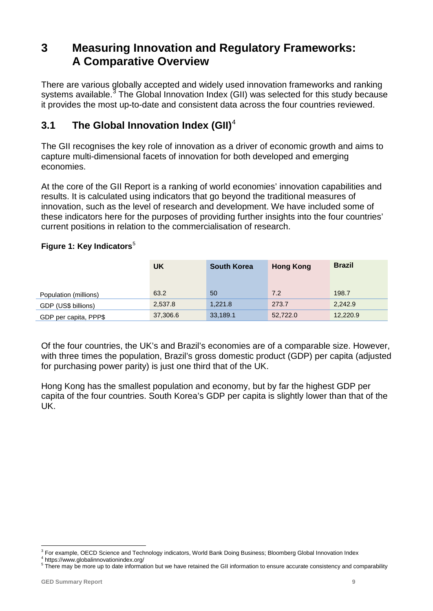# **3 Measuring Innovation and Regulatory Frameworks: A Comparative Overview**

There are various globally accepted and widely used innovation frameworks and ranking systems available.<sup>[3](#page-9-0)</sup> The Global Innovation Index (GII) was selected for this study because it provides the most up-to-date and consistent data across the four countries reviewed.

## **3.1 The Global Innovation Index (GII)**[4](#page-9-1)

The GII recognises the key role of innovation as a driver of economic growth and aims to capture multi-dimensional facets of innovation for both developed and emerging economies.

At the core of the GII Report is a ranking of world economies' innovation capabilities and results. It is calculated using indicators that go beyond the traditional measures of innovation, such as the level of research and development. We have included some of these indicators here for the purposes of providing further insights into the four countries' current positions in relation to the commercialisation of research.

#### **Figure 1: Key Indicators**<sup>[5](#page-9-2)</sup>

|                       | UK       | <b>South Korea</b> | <b>Hong Kong</b> | <b>Brazil</b> |
|-----------------------|----------|--------------------|------------------|---------------|
| Population (millions) | 63.2     | 50                 | 7.2              | 198.7         |
| GDP (US\$ billions)   | 2,537.8  | 1,221.8            | 273.7            | 2,242.9       |
| GDP per capita, PPP\$ | 37,306.6 | 33,189.1           | 52,722.0         | 12,220.9      |

Of the four countries, the UK's and Brazil's economies are of a comparable size. However, with three times the population, Brazil's gross domestic product (GDP) per capita (adjusted for purchasing power parity) is just one third that of the UK.

Hong Kong has the smallest population and economy, but by far the highest GDP per capita of the four countries. South Korea's GDP per capita is slightly lower than that of the UK.

<span id="page-9-2"></span><span id="page-9-1"></span>

<span id="page-9-0"></span><sup>&</sup>lt;sup>3</sup> For example, OECD Science and Technology indicators, World Bank Doing Business; Bloomberg Global Innovation Index<br><sup>4</sup> https://www.globalinnovationindex.org/<br><sup>5</sup> There may be more up to date information but we have reta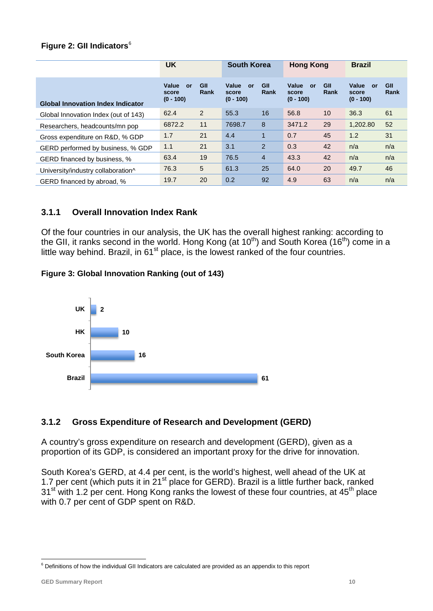#### **Figure 2: GII Indicators**[6](#page-10-0)

|                                          | <b>UK</b>                                  |             | <b>South Korea</b>                  |                | <b>Hong Kong</b>                    |             | <b>Brazil</b>                              |             |
|------------------------------------------|--------------------------------------------|-------------|-------------------------------------|----------------|-------------------------------------|-------------|--------------------------------------------|-------------|
| <b>Global Innovation Index Indicator</b> | Value<br><b>or</b><br>score<br>$(0 - 100)$ | GII<br>Rank | Value<br>or<br>score<br>$(0 - 100)$ | GII<br>Rank    | Value<br>or<br>score<br>$(0 - 100)$ | GII<br>Rank | Value<br><b>or</b><br>score<br>$(0 - 100)$ | GII<br>Rank |
| Global Innovation Index (out of 143)     | 62.4                                       | 2           | 55.3                                | 16             | 56.8                                | 10          | 36.3                                       | 61          |
| Researchers, headcounts/mn pop           | 6872.2                                     | 11          | 7698.7                              | 8              | 3471.2                              | 29          | 1,202.80                                   | 52          |
| Gross expenditure on R&D, % GDP          | 1.7                                        | 21          | 4.4                                 | 1              | 0.7                                 | 45          | 1.2                                        | 31          |
| GERD performed by business, % GDP        | 1.1                                        | 21          | 3.1                                 | $\overline{2}$ | 0.3                                 | 42          | n/a                                        | n/a         |
| GERD financed by business, %             | 63.4                                       | 19          | 76.5                                | $\overline{4}$ | 43.3                                | 42          | n/a                                        | n/a         |
| University/industry collaboration^       | 76.3                                       | 5           | 61.3                                | 25             | 64.0                                | 20          | 49.7                                       | 46          |
| GERD financed by abroad, %               | 19.7                                       | 20          | 0.2                                 | 92             | 4.9                                 | 63          | n/a                                        | n/a         |

#### **3.1.1 Overall Innovation Index Rank**

Of the four countries in our analysis, the UK has the overall highest ranking: according to the GII, it ranks second in the world. Hong Kong (at  $10^{th}$ ) and South Korea ( $16^{th}$ ) come in a little way behind. Brazil, in  $61<sup>st</sup>$  place, is the lowest ranked of the four countries.

#### **Figure 3: Global Innovation Ranking (out of 143)**



#### **3.1.2 Gross Expenditure of Research and Development (GERD)**

A country's gross expenditure on research and development (GERD), given as a proportion of its GDP, is considered an important proxy for the drive for innovation.

South Korea's GERD, at 4.4 per cent, is the world's highest, well ahead of the UK at 1.7 per cent (which puts it in 21 $^{\rm st}$  place for GERD). Brazil is a little further back, ranked 31<sup>st</sup> with 1.2 per cent. Hong Kong ranks the lowest of these four countries, at 45<sup>th</sup> place with 0.7 per cent of GDP spent on R&D.

<span id="page-10-0"></span><sup>&</sup>lt;sup>6</sup> Definitions of how the individual GII Indicators are calculated are provided as an appendix to this report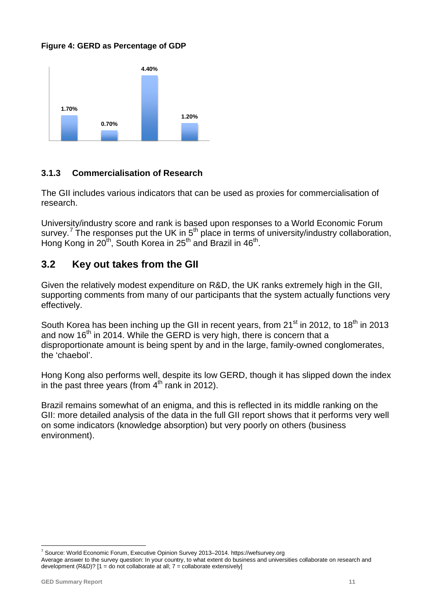#### **Figure 4: GERD as Percentage of GDP**



#### **3.1.3 Commercialisation of Research**

The GII includes various indicators that can be used as proxies for commercialisation of research.

University/industry score and rank is based upon responses to a World Economic Forum survey.<sup>[7](#page-11-0)</sup> The responses put the UK in  $5<sup>th</sup>$  place in terms of university/industry collaboration, Hong Kong in 20<sup>th</sup>, South Korea in 25<sup>th</sup> and Brazil in 46<sup>th</sup>.

## **3.2 Key out takes from the GII**

Given the relatively modest expenditure on R&D, the UK ranks extremely high in the GII, supporting comments from many of our participants that the system actually functions very effectively.

South Korea has been inching up the GII in recent years, from 21<sup>st</sup> in 2012, to 18<sup>th</sup> in 2013 and now 16<sup>th</sup> in 2014. While the GERD is very high, there is concern that a disproportionate amount is being spent by and in the large, family-owned conglomerates, the 'chaebol'.

Hong Kong also performs well, despite its low GERD, though it has slipped down the index in the past three years (from  $4<sup>th</sup>$  rank in 2012).

Brazil remains somewhat of an enigma, and this is reflected in its middle ranking on the GII: more detailed analysis of the data in the full GII report shows that it performs very well on some indicators (knowledge absorption) but very poorly on others (business environment).

<span id="page-11-0"></span> <sup>7</sup> Source: World Economic Forum, Executive Opinion Survey 2013–2014. [https://wefsurvey.org](https://wefsurvey.org/)

Average answer to the survey question: In your country, to what extent do business and universities collaborate on research and development (R&D)? [1 = do not collaborate at all; 7 = collaborate extensively]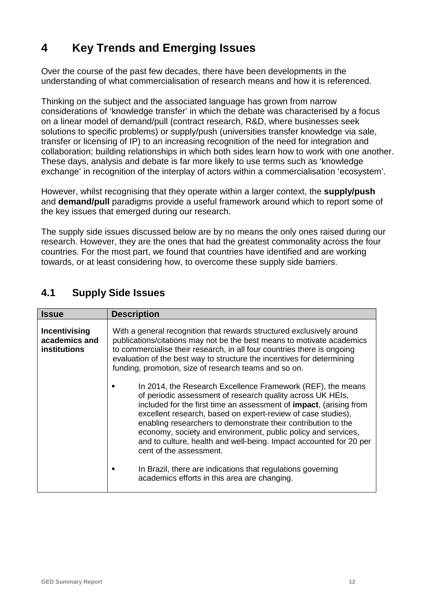# **4 Key Trends and Emerging Issues**

Over the course of the past few decades, there have been developments in the understanding of what commercialisation of research means and how it is referenced.

Thinking on the subject and the associated language has grown from narrow considerations of 'knowledge transfer' in which the debate was characterised by a focus on a linear model of demand/pull (contract research, R&D, where businesses seek solutions to specific problems) or supply/push (universities transfer knowledge via sale, transfer or licensing of IP) to an increasing recognition of the need for integration and collaboration; building relationships in which both sides learn how to work with one another. These days, analysis and debate is far more likely to use terms such as 'knowledge exchange' in recognition of the interplay of actors within a commercialisation 'ecosystem'.

However, whilst recognising that they operate within a larger context, the **supply/push** and **demand/pull** paradigms provide a useful framework around which to report some of the key issues that emerged during our research.

The supply side issues discussed below are by no means the only ones raised during our research. However, they are the ones that had the greatest commonality across the four countries. For the most part, we found that countries have identified and are working towards, or at least considering how, to overcome these supply side barriers.

| <b>Issue</b>                                          | <b>Description</b>                                                                                                                                                                                                                                                                                                                                                                                                                                                                                 |
|-------------------------------------------------------|----------------------------------------------------------------------------------------------------------------------------------------------------------------------------------------------------------------------------------------------------------------------------------------------------------------------------------------------------------------------------------------------------------------------------------------------------------------------------------------------------|
| Incentivising<br>academics and<br><b>institutions</b> | With a general recognition that rewards structured exclusively around<br>publications/citations may not be the best means to motivate academics<br>to commercialise their research, in all four countries there is ongoing<br>evaluation of the best way to structure the incentives for determining<br>funding, promotion, size of research teams and so on.                                                                                                                                      |
|                                                       | In 2014, the Research Excellence Framework (REF), the means<br>of periodic assessment of research quality across UK HEIs,<br>included for the first time an assessment of impact, (arising from<br>excellent research, based on expert-review of case studies),<br>enabling researchers to demonstrate their contribution to the<br>economy, society and environment, public policy and services,<br>and to culture, health and well-being. Impact accounted for 20 per<br>cent of the assessment. |
|                                                       | In Brazil, there are indications that regulations governing<br>academics efforts in this area are changing.                                                                                                                                                                                                                                                                                                                                                                                        |

# **4.1 Supply Side Issues**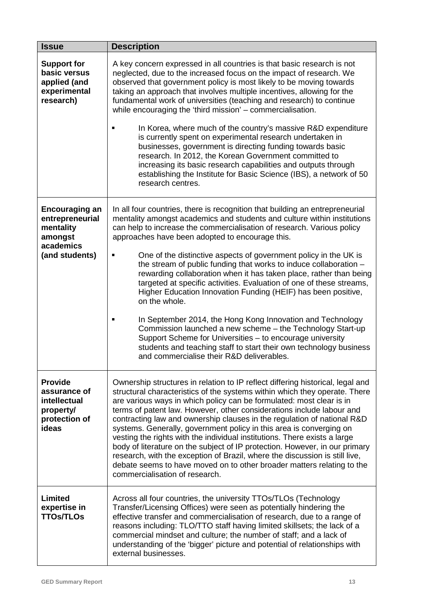| <b>Issue</b>                                                                          | <b>Description</b>                                                                                                                                                                                                                                                                                                                                                                                                                                                                                                                                                                                                                                                                                                                                                                                                     |
|---------------------------------------------------------------------------------------|------------------------------------------------------------------------------------------------------------------------------------------------------------------------------------------------------------------------------------------------------------------------------------------------------------------------------------------------------------------------------------------------------------------------------------------------------------------------------------------------------------------------------------------------------------------------------------------------------------------------------------------------------------------------------------------------------------------------------------------------------------------------------------------------------------------------|
| <b>Support for</b><br>basic versus<br>applied (and<br>experimental<br>research)       | A key concern expressed in all countries is that basic research is not<br>neglected, due to the increased focus on the impact of research. We<br>observed that government policy is most likely to be moving towards<br>taking an approach that involves multiple incentives, allowing for the<br>fundamental work of universities (teaching and research) to continue<br>while encouraging the 'third mission' – commercialisation.<br>In Korea, where much of the country's massive R&D expenditure<br>is currently spent on experimental research undertaken in                                                                                                                                                                                                                                                     |
|                                                                                       | businesses, government is directing funding towards basic<br>research. In 2012, the Korean Government committed to<br>increasing its basic research capabilities and outputs through<br>establishing the Institute for Basic Science (IBS), a network of 50<br>research centres.                                                                                                                                                                                                                                                                                                                                                                                                                                                                                                                                       |
| <b>Encouraging an</b><br>entrepreneurial<br>mentality<br>amongst<br>academics         | In all four countries, there is recognition that building an entrepreneurial<br>mentality amongst academics and students and culture within institutions<br>can help to increase the commercialisation of research. Various policy<br>approaches have been adopted to encourage this.                                                                                                                                                                                                                                                                                                                                                                                                                                                                                                                                  |
| (and students)                                                                        | One of the distinctive aspects of government policy in the UK is<br>the stream of public funding that works to induce collaboration -<br>rewarding collaboration when it has taken place, rather than being<br>targeted at specific activities. Evaluation of one of these streams,<br>Higher Education Innovation Funding (HEIF) has been positive,<br>on the whole.                                                                                                                                                                                                                                                                                                                                                                                                                                                  |
|                                                                                       | In September 2014, the Hong Kong Innovation and Technology<br>Commission launched a new scheme - the Technology Start-up<br>Support Scheme for Universities - to encourage university<br>students and teaching staff to start their own technology business<br>and commercialise their R&D deliverables.                                                                                                                                                                                                                                                                                                                                                                                                                                                                                                               |
| <b>Provide</b><br>assurance of<br>intellectual<br>property/<br>protection of<br>ideas | Ownership structures in relation to IP reflect differing historical, legal and<br>structural characteristics of the systems within which they operate. There<br>are various ways in which policy can be formulated: most clear is in<br>terms of patent law. However, other considerations include labour and<br>contracting law and ownership clauses in the regulation of national R&D<br>systems. Generally, government policy in this area is converging on<br>vesting the rights with the individual institutions. There exists a large<br>body of literature on the subject of IP protection. However, in our primary<br>research, with the exception of Brazil, where the discussion is still live,<br>debate seems to have moved on to other broader matters relating to the<br>commercialisation of research. |
| Limited<br>expertise in<br><b>TTOs/TLOs</b>                                           | Across all four countries, the university TTOs/TLOs (Technology<br>Transfer/Licensing Offices) were seen as potentially hindering the<br>effective transfer and commercialisation of research, due to a range of<br>reasons including: TLO/TTO staff having limited skillsets; the lack of a<br>commercial mindset and culture; the number of staff; and a lack of<br>understanding of the 'bigger' picture and potential of relationships with<br>external businesses.                                                                                                                                                                                                                                                                                                                                                |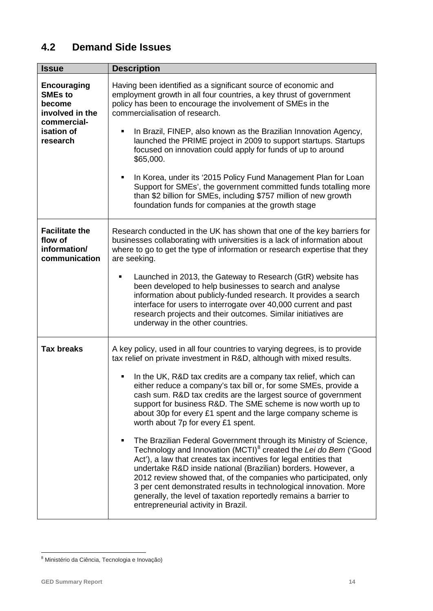# **4.2 Demand Side Issues**

| <b>Issue</b>                                                                     | <b>Description</b>                                                                                                                                                                                                                                                                                                                                                                                                                                                                                                                        |
|----------------------------------------------------------------------------------|-------------------------------------------------------------------------------------------------------------------------------------------------------------------------------------------------------------------------------------------------------------------------------------------------------------------------------------------------------------------------------------------------------------------------------------------------------------------------------------------------------------------------------------------|
| <b>Encouraging</b><br><b>SMEs to</b><br>become<br>involved in the<br>commercial- | Having been identified as a significant source of economic and<br>employment growth in all four countries, a key thrust of government<br>policy has been to encourage the involvement of SMEs in the<br>commercialisation of research.                                                                                                                                                                                                                                                                                                    |
| isation of<br>research                                                           | In Brazil, FINEP, also known as the Brazilian Innovation Agency,<br>launched the PRIME project in 2009 to support startups. Startups<br>focused on innovation could apply for funds of up to around<br>\$65,000.                                                                                                                                                                                                                                                                                                                          |
|                                                                                  | In Korea, under its '2015 Policy Fund Management Plan for Loan<br>٠<br>Support for SMEs', the government committed funds totalling more<br>than \$2 billion for SMEs, including \$757 million of new growth<br>foundation funds for companies at the growth stage                                                                                                                                                                                                                                                                         |
| <b>Facilitate the</b><br>flow of<br>information/<br>communication                | Research conducted in the UK has shown that one of the key barriers for<br>businesses collaborating with universities is a lack of information about<br>where to go to get the type of information or research expertise that they<br>are seeking.                                                                                                                                                                                                                                                                                        |
|                                                                                  | Launched in 2013, the Gateway to Research (GtR) website has<br>been developed to help businesses to search and analyse<br>information about publicly-funded research. It provides a search<br>interface for users to interrogate over 40,000 current and past<br>research projects and their outcomes. Similar initiatives are<br>underway in the other countries.                                                                                                                                                                        |
| <b>Tax breaks</b>                                                                | A key policy, used in all four countries to varying degrees, is to provide<br>tax relief on private investment in R&D, although with mixed results.                                                                                                                                                                                                                                                                                                                                                                                       |
|                                                                                  | In the UK, R&D tax credits are a company tax relief, which can<br>either reduce a company's tax bill or, for some SMEs, provide a<br>cash sum. R&D tax credits are the largest source of government<br>support for business R&D. The SME scheme is now worth up to<br>about 30p for every £1 spent and the large company scheme is<br>worth about 7p for every £1 spent.                                                                                                                                                                  |
|                                                                                  | The Brazilian Federal Government through its Ministry of Science,<br>Technology and Innovation (MCTI) <sup>8</sup> created the Lei do Bem ('Good<br>Act'), a law that creates tax incentives for legal entities that<br>undertake R&D inside national (Brazilian) borders. However, a<br>2012 review showed that, of the companies who participated, only<br>3 per cent demonstrated results in technological innovation. More<br>generally, the level of taxation reportedly remains a barrier to<br>entrepreneurial activity in Brazil. |

<span id="page-14-0"></span> <sup>8</sup> Ministério da Ciência, Tecnologia e Inovação)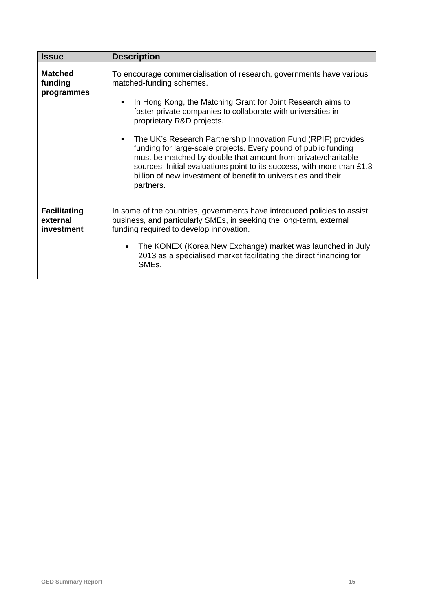| <b>Issue</b>                                  | <b>Description</b>                                                                                                                                                                                                                                                                                                                                                                                                                                                                                                                                                                                                                   |
|-----------------------------------------------|--------------------------------------------------------------------------------------------------------------------------------------------------------------------------------------------------------------------------------------------------------------------------------------------------------------------------------------------------------------------------------------------------------------------------------------------------------------------------------------------------------------------------------------------------------------------------------------------------------------------------------------|
| <b>Matched</b><br>funding<br>programmes       | To encourage commercialisation of research, governments have various<br>matched-funding schemes.<br>In Hong Kong, the Matching Grant for Joint Research aims to<br>п<br>foster private companies to collaborate with universities in<br>proprietary R&D projects.<br>The UK's Research Partnership Innovation Fund (RPIF) provides<br>٠<br>funding for large-scale projects. Every pound of public funding<br>must be matched by double that amount from private/charitable<br>sources. Initial evaluations point to its success, with more than £1.3<br>billion of new investment of benefit to universities and their<br>partners. |
| <b>Facilitating</b><br>external<br>investment | In some of the countries, governments have introduced policies to assist<br>business, and particularly SMEs, in seeking the long-term, external<br>funding required to develop innovation.<br>The KONEX (Korea New Exchange) market was launched in July<br>2013 as a specialised market facilitating the direct financing for<br>SME <sub>s</sub> .                                                                                                                                                                                                                                                                                 |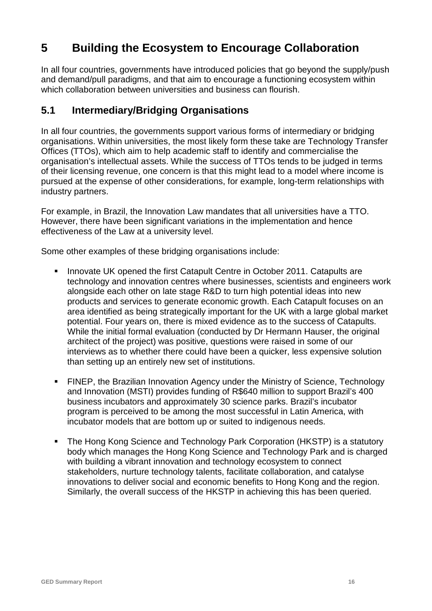# **5 Building the Ecosystem to Encourage Collaboration**

In all four countries, governments have introduced policies that go beyond the supply/push and demand/pull paradigms, and that aim to encourage a functioning ecosystem within which collaboration between universities and business can flourish.

## **5.1 Intermediary/Bridging Organisations**

In all four countries, the governments support various forms of intermediary or bridging organisations. Within universities, the most likely form these take are Technology Transfer Offices (TTOs), which aim to help academic staff to identify and commercialise the organisation's intellectual assets. While the success of TTOs tends to be judged in terms of their licensing revenue, one concern is that this might lead to a model where income is pursued at the expense of other considerations, for example, long-term relationships with industry partners.

For example, in Brazil, the Innovation Law mandates that all universities have a TTO. However, there have been significant variations in the implementation and hence effectiveness of the Law at a university level.

Some other examples of these bridging organisations include:

- **Innovate UK opened the first Catapult Centre in October 2011. Catapults are** technology and innovation centres where businesses, scientists and engineers work alongside each other on late stage R&D to turn high potential ideas into new products and services to generate economic growth. Each Catapult focuses on an area identified as being strategically important for the UK with a large global market potential. Four years on, there is mixed evidence as to the success of Catapults. While the initial formal evaluation (conducted by Dr Hermann Hauser, the original architect of the project) was positive, questions were raised in some of our interviews as to whether there could have been a quicker, less expensive solution than setting up an entirely new set of institutions.
- FINEP, the Brazilian Innovation Agency under the Ministry of Science, Technology and Innovation (MSTI) provides funding of R\$640 million to support Brazil's 400 business incubators and approximately 30 science parks. Brazil's incubator program is perceived to be among the most successful in Latin America, with incubator models that are bottom up or suited to indigenous needs.
- The Hong Kong Science and Technology Park Corporation (HKSTP) is a statutory body which manages the Hong Kong Science and Technology Park and is charged with building a vibrant innovation and technology ecosystem to connect stakeholders, nurture technology talents, facilitate collaboration, and catalyse innovations to deliver social and economic benefits to Hong Kong and the region. Similarly, the overall success of the HKSTP in achieving this has been queried.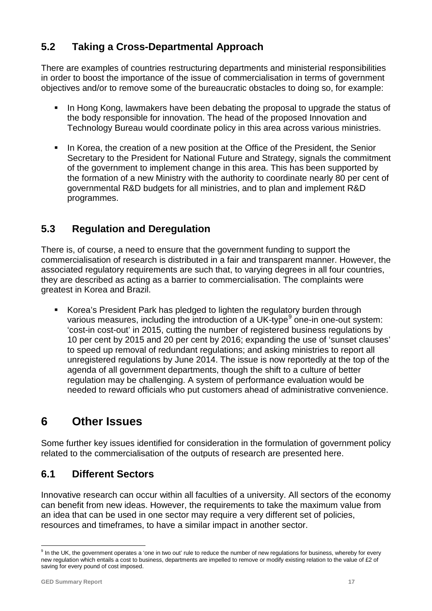# **5.2 Taking a Cross-Departmental Approach**

There are examples of countries restructuring departments and ministerial responsibilities in order to boost the importance of the issue of commercialisation in terms of government objectives and/or to remove some of the bureaucratic obstacles to doing so, for example:

- In Hong Kong, lawmakers have been debating the proposal to upgrade the status of the body responsible for innovation. The head of the proposed Innovation and Technology Bureau would coordinate policy in this area across various ministries.
- In Korea, the creation of a new position at the Office of the President, the Senior Secretary to the President for National Future and Strategy, signals the commitment of the government to implement change in this area. This has been supported by the formation of a new Ministry with the authority to coordinate nearly 80 per cent of governmental R&D budgets for all ministries, and to plan and implement R&D programmes.

# **5.3 Regulation and Deregulation**

There is, of course, a need to ensure that the government funding to support the commercialisation of research is distributed in a fair and transparent manner. However, the associated regulatory requirements are such that, to varying degrees in all four countries, they are described as acting as a barrier to commercialisation. The complaints were greatest in Korea and Brazil.

 Korea's President Park has pledged to lighten the regulatory burden through various measures, including the introduction of a UK-type $9$  one-in one-out system: 'cost-in cost-out' in 2015, cutting the number of registered business regulations by 10 per cent by 2015 and 20 per cent by 2016; expanding the use of 'sunset clauses' to speed up removal of redundant regulations; and asking ministries to report all unregistered regulations by June 2014. The issue is now reportedly at the top of the agenda of all government departments, though the shift to a culture of better regulation may be challenging. A system of performance evaluation would be needed to reward officials who put customers ahead of administrative convenience.

# **6 Other Issues**

Some further key issues identified for consideration in the formulation of government policy related to the commercialisation of the outputs of research are presented here.

## **6.1 Different Sectors**

Innovative research can occur within all faculties of a university. All sectors of the economy can benefit from new ideas. However, the requirements to take the maximum value from an idea that can be used in one sector may require a very different set of policies, resources and timeframes, to have a similar impact in another sector.

<span id="page-17-0"></span> $9$  In the UK, the government operates a 'one in two out' rule to reduce the number of new regulations for business, whereby for every new regulation which entails a cost to business, departments are impelled to remove or modify existing relation to the value of £2 of saving for every pound of cost imposed.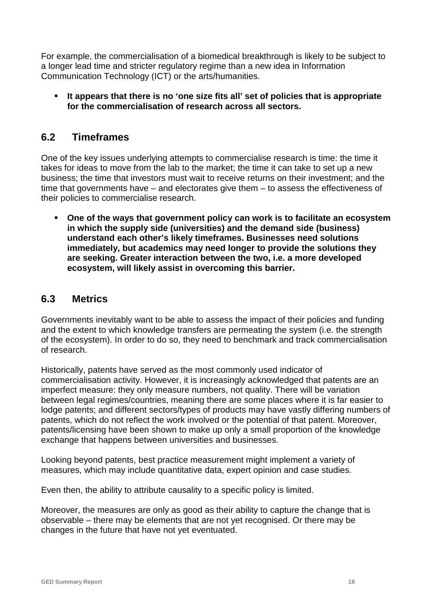For example, the commercialisation of a biomedical breakthrough is likely to be subject to a longer lead time and stricter regulatory regime than a new idea in Information Communication Technology (ICT) or the arts/humanities.

 **It appears that there is no 'one size fits all' set of policies that is appropriate for the commercialisation of research across all sectors.**

## **6.2 Timeframes**

One of the key issues underlying attempts to commercialise research is time: the time it takes for ideas to move from the lab to the market; the time it can take to set up a new business; the time that investors must wait to receive returns on their investment; and the time that governments have – and electorates give them – to assess the effectiveness of their policies to commercialise research.

 **One of the ways that government policy can work is to facilitate an ecosystem in which the supply side (universities) and the demand side (business) understand each other's likely timeframes. Businesses need solutions immediately, but academics may need longer to provide the solutions they are seeking. Greater interaction between the two, i.e. a more developed ecosystem, will likely assist in overcoming this barrier.**

### **6.3 Metrics**

Governments inevitably want to be able to assess the impact of their policies and funding and the extent to which knowledge transfers are permeating the system (i.e. the strength of the ecosystem). In order to do so, they need to benchmark and track commercialisation of research.

Historically, patents have served as the most commonly used indicator of commercialisation activity. However, it is increasingly acknowledged that patents are an imperfect measure: they only measure numbers, not quality. There will be variation between legal regimes/countries, meaning there are some places where it is far easier to lodge patents; and different sectors/types of products may have vastly differing numbers of patents, which do not reflect the work involved or the potential of that patent. Moreover, patents/licensing have been shown to make up only a small proportion of the knowledge exchange that happens between universities and businesses.

Looking beyond patents, best practice measurement might implement a variety of measures, which may include quantitative data, expert opinion and case studies.

Even then, the ability to attribute causality to a specific policy is limited.

Moreover, the measures are only as good as their ability to capture the change that is observable – there may be elements that are not yet recognised. Or there may be changes in the future that have not yet eventuated.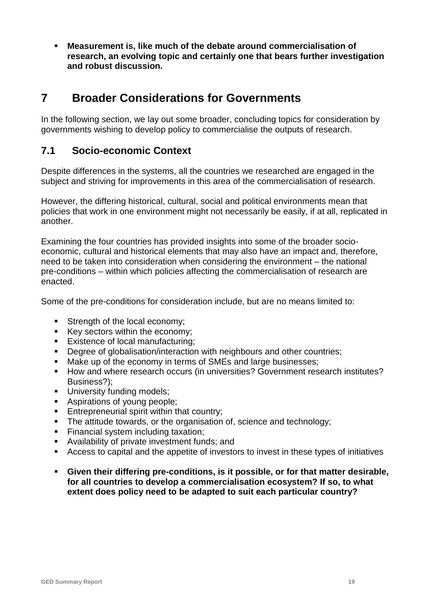**Measurement is, like much of the debate around commercialisation of research, an evolving topic and certainly one that bears further investigation and robust discussion.**

# **7 Broader Considerations for Governments**

In the following section, we lay out some broader, concluding topics for consideration by governments wishing to develop policy to commercialise the outputs of research.

## **7.1 Socio-economic Context**

Despite differences in the systems, all the countries we researched are engaged in the subject and striving for improvements in this area of the commercialisation of research.

However, the differing historical, cultural, social and political environments mean that policies that work in one environment might not necessarily be easily, if at all, replicated in another.

Examining the four countries has provided insights into some of the broader socioeconomic, cultural and historical elements that may also have an impact and, therefore, need to be taken into consideration when considering the environment – the national pre-conditions – within which policies affecting the commercialisation of research are enacted.

Some of the pre-conditions for consideration include, but are no means limited to:

- Strength of the local economy;
- Key sectors within the economy:
- **Existence of local manufacturing;**
- Degree of globalisation/interaction with neighbours and other countries;
- Make up of the economy in terms of SMEs and large businesses;<br>• How and where research occurs (in universities? Government res
- How and where research occurs (in universities? Government research institutes? Business?);
- **University funding models;**
- **Aspirations of young people;**<br>**Entrepreneurial spirit within the**
- Entrepreneurial spirit within that country;
- The attitude towards, or the organisation of, science and technology;
- Financial system including taxation;
- Availability of private investment funds; and
- Access to capital and the appetite of investors to invest in these types of initiatives
- **Given their differing pre-conditions, is it possible, or for that matter desirable, for all countries to develop a commercialisation ecosystem? If so, to what extent does policy need to be adapted to suit each particular country?**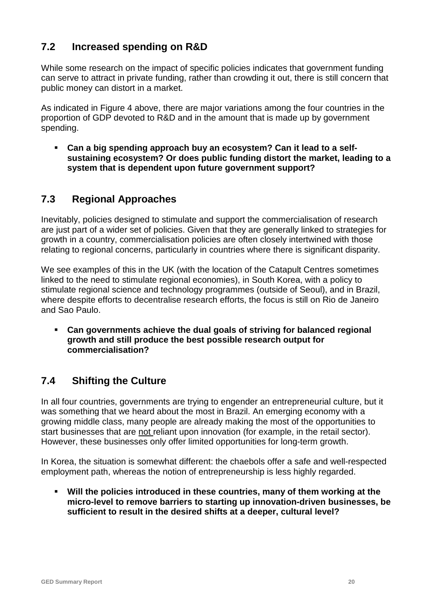# **7.2 Increased spending on R&D**

While some research on the impact of specific policies indicates that government funding can serve to attract in private funding, rather than crowding it out, there is still concern that public money can distort in a market.

As indicated in Figure 4 above, there are major variations among the four countries in the proportion of GDP devoted to R&D and in the amount that is made up by government spending.

 **Can a big spending approach buy an ecosystem? Can it lead to a selfsustaining ecosystem? Or does public funding distort the market, leading to a system that is dependent upon future government support?**

## **7.3 Regional Approaches**

Inevitably, policies designed to stimulate and support the commercialisation of research are just part of a wider set of policies. Given that they are generally linked to strategies for growth in a country, commercialisation policies are often closely intertwined with those relating to regional concerns, particularly in countries where there is significant disparity.

We see examples of this in the UK (with the location of the Catapult Centres sometimes linked to the need to stimulate regional economies), in South Korea, with a policy to stimulate regional science and technology programmes (outside of Seoul), and in Brazil, where despite efforts to decentralise research efforts, the focus is still on Rio de Janeiro and Sao Paulo.

 **Can governments achieve the dual goals of striving for balanced regional growth and still produce the best possible research output for commercialisation?**

# **7.4 Shifting the Culture**

In all four countries, governments are trying to engender an entrepreneurial culture, but it was something that we heard about the most in Brazil. An emerging economy with a growing middle class, many people are already making the most of the opportunities to start businesses that are not reliant upon innovation (for example, in the retail sector). However, these businesses only offer limited opportunities for long-term growth.

In Korea, the situation is somewhat different: the chaebols offer a safe and well-respected employment path, whereas the notion of entrepreneurship is less highly regarded.

 **Will the policies introduced in these countries, many of them working at the micro-level to remove barriers to starting up innovation-driven businesses, be sufficient to result in the desired shifts at a deeper, cultural level?**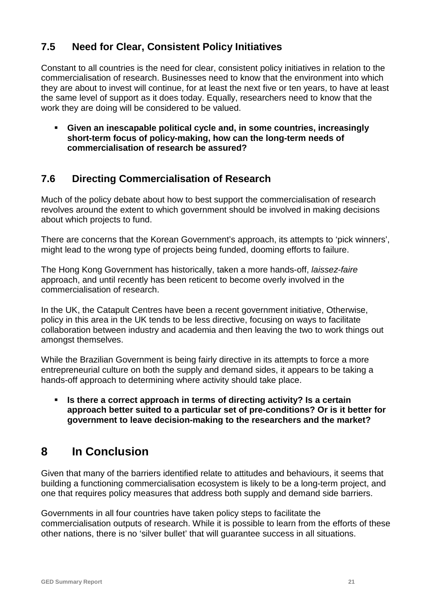# **7.5 Need for Clear, Consistent Policy Initiatives**

Constant to all countries is the need for clear, consistent policy initiatives in relation to the commercialisation of research. Businesses need to know that the environment into which they are about to invest will continue, for at least the next five or ten years, to have at least the same level of support as it does today. Equally, researchers need to know that the work they are doing will be considered to be valued.

 **Given an inescapable political cycle and, in some countries, increasingly short-term focus of policy-making, how can the long-term needs of commercialisation of research be assured?**

## **7.6 Directing Commercialisation of Research**

Much of the policy debate about how to best support the commercialisation of research revolves around the extent to which government should be involved in making decisions about which projects to fund.

There are concerns that the Korean Government's approach, its attempts to 'pick winners', might lead to the wrong type of projects being funded, dooming efforts to failure.

The Hong Kong Government has historically, taken a more hands-off, *laissez-faire* approach, and until recently has been reticent to become overly involved in the commercialisation of research.

In the UK, the Catapult Centres have been a recent government initiative, Otherwise, policy in this area in the UK tends to be less directive, focusing on ways to facilitate collaboration between industry and academia and then leaving the two to work things out amongst themselves.

While the Brazilian Government is being fairly directive in its attempts to force a more entrepreneurial culture on both the supply and demand sides, it appears to be taking a hands-off approach to determining where activity should take place.

 **Is there a correct approach in terms of directing activity? Is a certain approach better suited to a particular set of pre-conditions? Or is it better for government to leave decision-making to the researchers and the market?**

# **8 In Conclusion**

Given that many of the barriers identified relate to attitudes and behaviours, it seems that building a functioning commercialisation ecosystem is likely to be a long-term project, and one that requires policy measures that address both supply and demand side barriers.

Governments in all four countries have taken policy steps to facilitate the commercialisation outputs of research. While it is possible to learn from the efforts of these other nations, there is no 'silver bullet' that will guarantee success in all situations.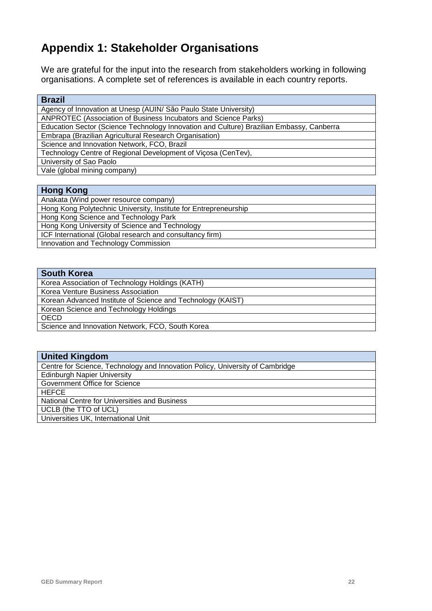# **Appendix 1: Stakeholder Organisations**

We are grateful for the input into the research from stakeholders working in following organisations. A complete set of references is available in each country reports.

| <b>Brazil</b>                                                                            |
|------------------------------------------------------------------------------------------|
| Agency of Innovation at Unesp (AUIN/ São Paulo State University)                         |
| ANPROTEC (Association of Business Incubators and Science Parks)                          |
| Education Sector (Science Technology Innovation and Culture) Brazilian Embassy, Canberra |
| Embrapa (Brazilian Agricultural Research Organisation)                                   |
| Science and Innovation Network, FCO, Brazil                                              |
| Technology Centre of Regional Development of Vicosa (CenTev),                            |
| University of Sao Paolo                                                                  |
| Vale (global mining company)                                                             |
|                                                                                          |

#### **Hong Kong**

Anakata (Wind power resource company) Hong Kong Polytechnic University, Institute for Entrepreneurship Hong Kong Science and Technology Park Hong Kong University of Science and Technology ICF International (Global research and consultancy firm) Innovation and Technology Commission

#### **South Korea**

Korea Association of Technology Holdings (KATH) Korea Venture Business Association Korean Advanced Institute of Science and Technology (KAIST) Korean Science and Technology Holdings OECD Science and Innovation Network, FCO, South Korea

| <b>United Kingdom</b>                                                         |
|-------------------------------------------------------------------------------|
| Centre for Science, Technology and Innovation Policy, University of Cambridge |
| <b>Edinburgh Napier University</b>                                            |
| Government Office for Science                                                 |
| <b>HEFCE</b>                                                                  |
| National Centre for Universities and Business                                 |
| UCLB (the TTO of UCL)                                                         |
| Universities UK, International Unit                                           |